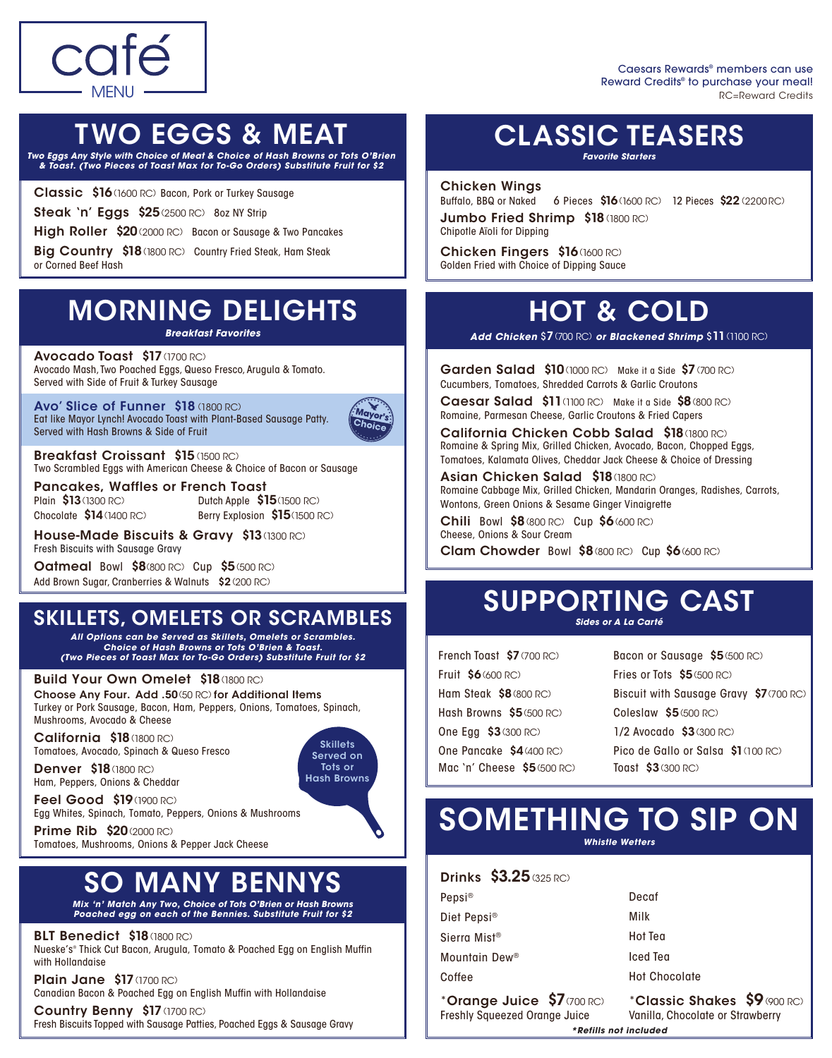

RC=Reward Credits Caesars Rewards® members can use Reward Credits® to purchase your meal!

### TWO EGGS & MEAT

*Two Eggs Any Style with Choice of Meat & Choice of Hash Browns or Tots O'Brien & Toast. (Two Pieces of Toast Max for To-Go Orders) Substitute Fruit for \$2*

Classic \$16(1600 RC) Bacon, Pork or Turkey Sausage Steak 'n' Eggs \$25 (2500 RC) 8oz NY Strip

High Roller \$20 (2000 RC) Bacon or Sausage & Two Pancakes

Big Country \$18 (1800 RC) Country Fried Steak, Ham Steak or Corned Beef Hash

### MORNING DELIGHTS

*Breakfast Favorites*

Avocado Toast \$17 (1700 RC) Avocado Mash, Two Poached Eggs, Queso Fresco, Arugula & Tomato. Served with Side of Fruit & Turkey Sausage

Avo' Slice of Funner \$18 (1800 RC) Eat like Mayor Lynch! Avocado Toast with Plant-Based Sausage Patty. Served with Hash Browns & Side of Fruit



**Skillets** Served on Tots or Hash Browns

Breakfast Croissant \$15 (1500 RC) Two Scrambled Eggs with American Cheese & Choice of Bacon or Sausage

Plain \$13 (1300 RC) Chocolate \$14(1400 RC)

Pancakes, Waffles or French Toast Dutch Apple \$15(1500 RC) Berry Explosion \$15(1500 RC)

House-Made Biscuits & Gravy \$13 (1300 RC) Fresh Biscuits with Sausage Gravy

**Oatmeal Bowl \$8**(800 RC) Cup \$5(500 RC) Add Brown Sugar, Cranberries & Walnuts \$2 (200 RC)

### SKILLETS, OMELETS OR SCRAMBLES

*All Options can be Served as Skillets, Omelets or Scrambles. Choice of Hash Browns or Tots O'Brien & Toast. (Two Pieces of Toast Max for To-Go Orders) Substitute Fruit for \$2*

#### Build Your Own Omelet \$18(1800 RC)

Choose Any Four. Add .50(50 RC) for Additional Items Turkey or Pork Sausage, Bacon, Ham, Peppers, Onions, Tomatoes, Spinach, Mushrooms, Avocado & Cheese

California \$18(1800 RC) Tomatoes, Avocado, Spinach & Queso Fresco

**Denver \$18**(1800 RC) Ham, Peppers, Onions & Cheddar

**Feel Good \$19**(1900 RC) Egg Whites, Spinach, Tomato, Peppers, Onions & Mushrooms

**Prime Rib \$20 (2000 RC)** Tomatoes, Mushrooms, Onions & Pepper Jack Cheese

### **SO MANY BENN**

*Mix 'n' Match Any Two, Choice of Tots O'Brien or Hash Browns Poached egg on each of the Bennies. Substitute Fruit for \$2*

BLT Benedict \$18(1800 RC)

Nueske's® Thick Cut Bacon, Arugula, Tomato & Poached Egg on English Muffin with Hollandaise

**Plain Jane \$17** (1700 RC) Canadian Bacon & Poached Egg on English Muffin with Hollandaise

Country Benny \$17 (1700 RC) Fresh Biscuits Topped with Sausage Patties, Poached Eggs & Sausage Gravy

### CLASSIC TEASERS

*Favorite Starters*

Chicken Wings Buffalo, BBQ or Naked Jumbo Fried Shrimp \$18 (1800 RC) 6 Pieces \$16(1600 RC) 12 Pieces \$22(2200 RC)

Chipotle Aïoli for Dipping

Chicken Fingers \$16(1600 RC) Golden Fried with Choice of Dipping Sauce

### HOT & COLD

*Add Chicken* \$7(700 RC) *or Blackened Shrimp* \$11(1100 RC)

Garden Salad \$10 (1000 RC) Make it a Side \$7 (700 RC) Cucumbers, Tomatoes, Shredded Carrots & Garlic Croutons

Caesar Salad \$11(1100 RC) Make it a Side \$8(800 RC) Romaine, Parmesan Cheese, Garlic Croutons & Fried Capers

California Chicken Cobb Salad \$18 (1800 RC) Romaine & Spring Mix, Grilled Chicken, Avocado, Bacon, Chopped Eggs, Tomatoes, Kalamata Olives, Cheddar Jack Cheese & Choice of Dressing

Asian Chicken Salad \$18(1800 RC) Romaine Cabbage Mix, Grilled Chicken, Mandarin Oranges, Radishes, Carrots, Wontons, Green Onions & Sesame Ginger Vinaigrette

Chili Bowl \$8(800 RC) Cup \$6(600 RC) Cheese, Onions & Sour Cream

Clam Chowder Bowl \$8(800 RC) Cup \$6(600 RC)

### SUPPORTING CAST *Sides or A La Carté*

French Toast \$7 (700 RC) Fruit \$6(600 RC) Ham Steak \$8(800 RC) Hash Browns \$5(500 RC) One Egg \$3(300 RC) One Pancake \$4(400 RC) Mac 'n' Cheese \$5(500 RC)

Bacon or Sausage \$5(500 RC) Fries or Tots \$5(500 RC) Biscuit with Sausage Gravy \$7(700 RC) Coleslaw \$5(500 RC) 1/2 Avocado \$3(300 RC) Pico de Gallo or Salsa \$1(100 RC) Toast \$3(300 RC)

### SOMETHING TO SIP ON *Whistle Wetters*

**Drinks \$3.25 (325 RC)** 

| Pepsi <sup>®</sup>                                                 | Decaf                                                            |
|--------------------------------------------------------------------|------------------------------------------------------------------|
| Diet Pepsi <sup>®</sup>                                            | Milk                                                             |
| Sierra Mist <sup>®</sup>                                           | Hot Tea                                                          |
| Mountain Dew <sup>®</sup>                                          | Iced Tea                                                         |
| Coffee                                                             | <b>Hot Chocolate</b>                                             |
| *Orange Juice \$7 (700 RC)<br><b>Freshly Squeezed Orange Juice</b> | *Classic Shakes \$9 (900 RC)<br>Vanilla, Chocolate or Strawberry |
| *Refills not included                                              |                                                                  |